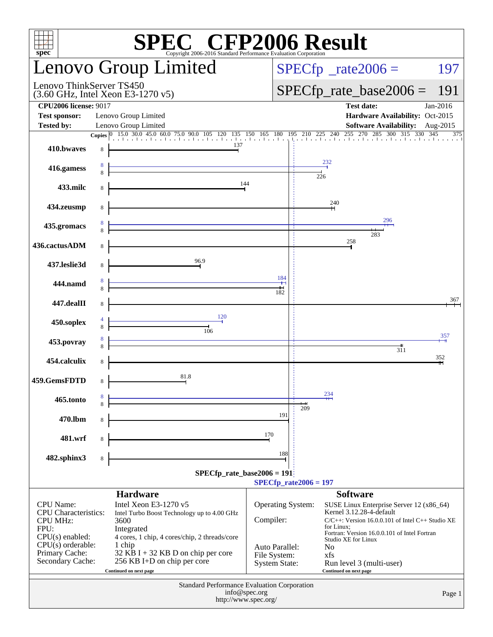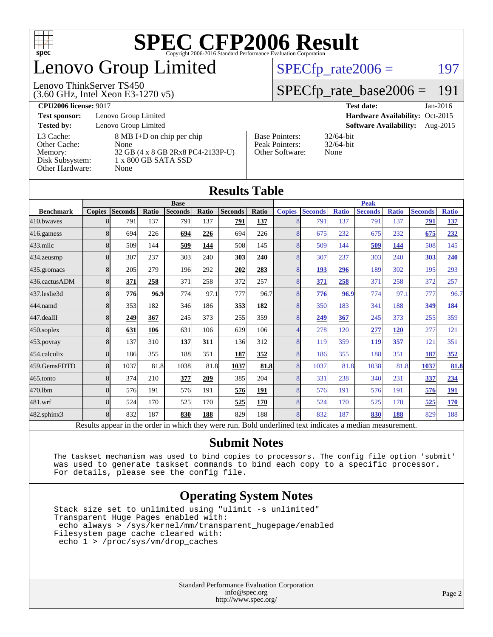

## enovo Group Limited

#### Lenovo ThinkServer TS450

 $SPECTp_rate2006 = 197$ 

### [SPECfp\\_rate\\_base2006 =](http://www.spec.org/auto/cpu2006/Docs/result-fields.html#SPECfpratebase2006) 191

| $(3.60 \text{ GHz}, \text{Intel Xeon E}3-1270 \text{ v}5)$ | $\vert$ SPECID rate dase $2000 = 19$ |            |
|------------------------------------------------------------|--------------------------------------|------------|
| <b>CPU2006 license: 9017</b>                               | Test date:                           | $Jan-2016$ |

**[Test sponsor:](http://www.spec.org/auto/cpu2006/Docs/result-fields.html#Testsponsor)** Lenovo Group Limited **[Hardware Availability:](http://www.spec.org/auto/cpu2006/Docs/result-fields.html#HardwareAvailability)** Oct-2015

**[Tested by:](http://www.spec.org/auto/cpu2006/Docs/result-fields.html#Testedby)** Lenovo Group Limited **[Software Availability:](http://www.spec.org/auto/cpu2006/Docs/result-fields.html#SoftwareAvailability)** Aug-2015

[Other Cache:](http://www.spec.org/auto/cpu2006/Docs/result-fields.html#OtherCache) [Disk Subsystem:](http://www.spec.org/auto/cpu2006/Docs/result-fields.html#DiskSubsystem) 1 x 800 GB SATA SSD [Other Hardware:](http://www.spec.org/auto/cpu2006/Docs/result-fields.html#OtherHardware) None

[L3 Cache:](http://www.spec.org/auto/cpu2006/Docs/result-fields.html#L3Cache) 8 MB I+D on chip per chip<br>Other Cache: None [Memory:](http://www.spec.org/auto/cpu2006/Docs/result-fields.html#Memory) 32 GB (4 x 8 GB 2Rx8 PC4-2133P-U)

| <b>Base Pointers:</b><br>Peak Pointers:<br>Other Software: | 32/64-bit<br>$32/64$ -bit<br>None |
|------------------------------------------------------------|-----------------------------------|
|                                                            |                                   |

32/64-bit

| <b>Results Table</b>                                                                                     |               |                |             |                |       |                |       |               |                |              |                |              |                |              |
|----------------------------------------------------------------------------------------------------------|---------------|----------------|-------------|----------------|-------|----------------|-------|---------------|----------------|--------------|----------------|--------------|----------------|--------------|
| <b>Base</b>                                                                                              |               |                | <b>Peak</b> |                |       |                |       |               |                |              |                |              |                |              |
| <b>Benchmark</b>                                                                                         | <b>Copies</b> | <b>Seconds</b> | Ratio       | <b>Seconds</b> | Ratio | <b>Seconds</b> | Ratio | <b>Copies</b> | <b>Seconds</b> | <b>Ratio</b> | <b>Seconds</b> | <b>Ratio</b> | <b>Seconds</b> | <b>Ratio</b> |
| 410.bwayes                                                                                               | 8             | 791            | 137         | 791            | 137   | 791            | 137   |               | 791            | 137          | 791            | 137          | 791            | 137          |
| 416.gamess                                                                                               | 8             | 694            | 226         | 694            | 226   | 694            | 226   | 8             | 675            | 232          | 675            | 232          | 675            | 232          |
| 433.milc                                                                                                 | 8             | 509            | 144         | 509            | 144   | 508            | 145   | 8             | 509            | 144          | 509            | 144          | 508            | 145          |
| 434.zeusmp                                                                                               | 8             | 307            | 237         | 303            | 240   | 303            | 240   | 8             | 307            | 237          | 303            | 240          | 303            | 240          |
| $435$ .gromacs                                                                                           | 8             | 205            | 279         | 196            | 292   | 202            | 283   | 8             | 193            | 296          | 189            | 302          | 195            | 293          |
| 436.cactusADM                                                                                            | 8             | 371            | 258         | 371            | 258   | 372            | 257   | 8             | 371            | 258          | 371            | 258          | 372            | 257          |
| 437.leslie3d                                                                                             | 8             | 776            | 96.9        | 774            | 97.1  | 777            | 96.7  | 8             | 776            | 96.9         | 774            | 97.1         | 777            | 96.7         |
| 444.namd                                                                                                 | 8             | 353            | 182         | 346            | 186   | 353            | 182   | 8             | 350            | 183          | 341            | 188          | 349            | 184          |
| 447.dealII                                                                                               | 8             | 249            | 367         | 245            | 373   | 255            | 359   | 8             | 249            | 367          | 245            | 373          | 255            | 359          |
| $450$ .soplex                                                                                            | 8             | 631            | 106         | 631            | 106   | 629            | 106   |               | 278            | 120          | 277            | <b>120</b>   | 277            | 121          |
| 453.povray                                                                                               | 8             | 137            | 310         | 137            | 311   | 136            | 312   | 8             | 119            | 359          | 119            | 357          | 121            | 351          |
| 454.calculix                                                                                             | 8             | 186            | 355         | 188            | 351   | 187            | 352   | 8             | 186            | 355          | 188            | 351          | 187            | 352          |
| 459.GemsFDTD                                                                                             | 8             | 1037           | 81.8        | 1038           | 81.8  | 1037           | 81.8  | 8             | 1037           | 81.8         | 1038           | 81.8         | 1037           | 81.8         |
| $465$ .tonto                                                                                             | 8             | 374            | 210         | 377            | 209   | 385            | 204   | 8             | 331            | 238          | 340            | 231          | 337            | 234          |
| 470.1bm                                                                                                  | 8             | 576            | 191         | 576            | 191   | 576            | 191   | 8             | 576            | 191          | 576            | 191          | 576            | 191          |
| 481.wrf                                                                                                  | 8             | 524            | 170         | 525            | 170   | 525            | 170   | 8             | 524            | 170          | 525            | 170          | 525            | 170          |
| 482.sphinx3                                                                                              | 8             | 832            | 187         | 830            | 188   | 829            | 188   | 8             | 832            | 187          | 830            | 188          | 829            | 188          |
| Results appear in the order in which they were run. Bold underlined text indicates a median measurement. |               |                |             |                |       |                |       |               |                |              |                |              |                |              |

#### **[Submit Notes](http://www.spec.org/auto/cpu2006/Docs/result-fields.html#SubmitNotes)**

 The taskset mechanism was used to bind copies to processors. The config file option 'submit' was used to generate taskset commands to bind each copy to a specific processor. For details, please see the config file.

### **[Operating System Notes](http://www.spec.org/auto/cpu2006/Docs/result-fields.html#OperatingSystemNotes)**

 Stack size set to unlimited using "ulimit -s unlimited" Transparent Huge Pages enabled with: echo always > /sys/kernel/mm/transparent\_hugepage/enabled Filesystem page cache cleared with: echo 1 > /proc/sys/vm/drop\_caches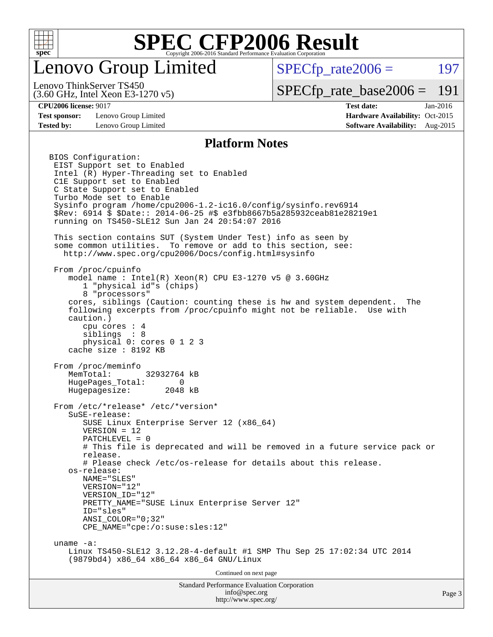

## enovo Group Limited

 $SPECTp\_rate2006 = 197$ 

(3.60 GHz, Intel Xeon E3-1270 v5) Lenovo ThinkServer TS450

[SPECfp\\_rate\\_base2006 =](http://www.spec.org/auto/cpu2006/Docs/result-fields.html#SPECfpratebase2006) 191

**[Test sponsor:](http://www.spec.org/auto/cpu2006/Docs/result-fields.html#Testsponsor)** Lenovo Group Limited **[Hardware Availability:](http://www.spec.org/auto/cpu2006/Docs/result-fields.html#HardwareAvailability)** Oct-2015

**[CPU2006 license:](http://www.spec.org/auto/cpu2006/Docs/result-fields.html#CPU2006license)** 9017 **[Test date:](http://www.spec.org/auto/cpu2006/Docs/result-fields.html#Testdate)** Jan-2016 **[Tested by:](http://www.spec.org/auto/cpu2006/Docs/result-fields.html#Testedby)** Lenovo Group Limited **[Software Availability:](http://www.spec.org/auto/cpu2006/Docs/result-fields.html#SoftwareAvailability)** Aug-2015

#### **[Platform Notes](http://www.spec.org/auto/cpu2006/Docs/result-fields.html#PlatformNotes)**

Standard Performance Evaluation Corporation [info@spec.org](mailto:info@spec.org) BIOS Configuration: EIST Support set to Enabled Intel (R) Hyper-Threading set to Enabled C1E Support set to Enabled C State Support set to Enabled Turbo Mode set to Enable Sysinfo program /home/cpu2006-1.2-ic16.0/config/sysinfo.rev6914 \$Rev: 6914 \$ \$Date:: 2014-06-25 #\$ e3fbb8667b5a285932ceab81e28219e1 running on TS450-SLE12 Sun Jan 24 20:54:07 2016 This section contains SUT (System Under Test) info as seen by some common utilities. To remove or add to this section, see: <http://www.spec.org/cpu2006/Docs/config.html#sysinfo> From /proc/cpuinfo model name:  $Intel(R)$  Xeon $(R)$  CPU E3-1270 v5 @ 3.60GHz 1 "physical id"s (chips) 8 "processors" cores, siblings (Caution: counting these is hw and system dependent. The following excerpts from /proc/cpuinfo might not be reliable. Use with caution.) cpu cores : 4 siblings : 8 physical 0: cores 0 1 2 3 cache size : 8192 KB From /proc/meminfo MemTotal: 32932764 kB HugePages\_Total: 0 Hugepagesize: 2048 kB From /etc/\*release\* /etc/\*version\* SuSE-release: SUSE Linux Enterprise Server 12 (x86\_64) VERSION = 12 PATCHLEVEL = 0 # This file is deprecated and will be removed in a future service pack or release. # Please check /etc/os-release for details about this release. os-release: NAME="SLES" VERSION="12" VERSION\_ID="12" PRETTY\_NAME="SUSE\_Linux Enterprise Server 12" ID="sles" ANSI\_COLOR="0;32" CPE\_NAME="cpe:/o:suse:sles:12" uname -a: Linux TS450-SLE12 3.12.28-4-default #1 SMP Thu Sep 25 17:02:34 UTC 2014 (9879bd4) x86\_64 x86\_64 x86\_64 GNU/Linux Continued on next page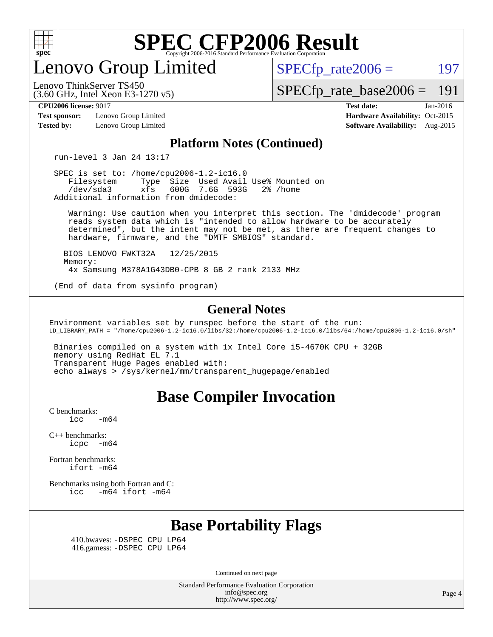

enovo Group Limited

 $SPECTp\_rate2006 = 197$ 

[SPECfp\\_rate\\_base2006 =](http://www.spec.org/auto/cpu2006/Docs/result-fields.html#SPECfpratebase2006) 191

(3.60 GHz, Intel Xeon E3-1270 v5) Lenovo ThinkServer TS450

**[Test sponsor:](http://www.spec.org/auto/cpu2006/Docs/result-fields.html#Testsponsor)** Lenovo Group Limited **[Hardware Availability:](http://www.spec.org/auto/cpu2006/Docs/result-fields.html#HardwareAvailability)** Oct-2015 **[Tested by:](http://www.spec.org/auto/cpu2006/Docs/result-fields.html#Testedby)** Lenovo Group Limited **[Software Availability:](http://www.spec.org/auto/cpu2006/Docs/result-fields.html#SoftwareAvailability)** Aug-2015

**[CPU2006 license:](http://www.spec.org/auto/cpu2006/Docs/result-fields.html#CPU2006license)** 9017 **[Test date:](http://www.spec.org/auto/cpu2006/Docs/result-fields.html#Testdate)** Jan-2016

#### **[Platform Notes \(Continued\)](http://www.spec.org/auto/cpu2006/Docs/result-fields.html#PlatformNotes)**

run-level 3 Jan 24 13:17

 SPEC is set to: /home/cpu2006-1.2-ic16.0 Filesystem Type Size Used Avail Use% Mounted on<br>
/dev/sda3 xfs 600G 7.6G 593G 2% /home 600G 7.6G 593G Additional information from dmidecode:

 Warning: Use caution when you interpret this section. The 'dmidecode' program reads system data which is "intended to allow hardware to be accurately determined", but the intent may not be met, as there are frequent changes to hardware, firmware, and the "DMTF SMBIOS" standard.

 BIOS LENOVO FWKT32A 12/25/2015 Memory: 4x Samsung M378A1G43DB0-CPB 8 GB 2 rank 2133 MHz

(End of data from sysinfo program)

#### **[General Notes](http://www.spec.org/auto/cpu2006/Docs/result-fields.html#GeneralNotes)**

Environment variables set by runspec before the start of the run: LD\_LIBRARY\_PATH = "/home/cpu2006-1.2-ic16.0/libs/32:/home/cpu2006-1.2-ic16.0/libs/64:/home/cpu2006-1.2-ic16.0/sh"

 Binaries compiled on a system with 1x Intel Core i5-4670K CPU + 32GB memory using RedHat EL 7.1 Transparent Huge Pages enabled with: echo always > /sys/kernel/mm/transparent\_hugepage/enabled

### **[Base Compiler Invocation](http://www.spec.org/auto/cpu2006/Docs/result-fields.html#BaseCompilerInvocation)**

[C benchmarks](http://www.spec.org/auto/cpu2006/Docs/result-fields.html#Cbenchmarks):  $\text{icc}$  -m64

[C++ benchmarks:](http://www.spec.org/auto/cpu2006/Docs/result-fields.html#CXXbenchmarks) [icpc -m64](http://www.spec.org/cpu2006/results/res2016q1/cpu2006-20160222-39033.flags.html#user_CXXbase_intel_icpc_64bit_bedb90c1146cab66620883ef4f41a67e)

[Fortran benchmarks](http://www.spec.org/auto/cpu2006/Docs/result-fields.html#Fortranbenchmarks): [ifort -m64](http://www.spec.org/cpu2006/results/res2016q1/cpu2006-20160222-39033.flags.html#user_FCbase_intel_ifort_64bit_ee9d0fb25645d0210d97eb0527dcc06e)

[Benchmarks using both Fortran and C](http://www.spec.org/auto/cpu2006/Docs/result-fields.html#BenchmarksusingbothFortranandC): [icc -m64](http://www.spec.org/cpu2006/results/res2016q1/cpu2006-20160222-39033.flags.html#user_CC_FCbase_intel_icc_64bit_0b7121f5ab7cfabee23d88897260401c) [ifort -m64](http://www.spec.org/cpu2006/results/res2016q1/cpu2006-20160222-39033.flags.html#user_CC_FCbase_intel_ifort_64bit_ee9d0fb25645d0210d97eb0527dcc06e)

## **[Base Portability Flags](http://www.spec.org/auto/cpu2006/Docs/result-fields.html#BasePortabilityFlags)**

 410.bwaves: [-DSPEC\\_CPU\\_LP64](http://www.spec.org/cpu2006/results/res2016q1/cpu2006-20160222-39033.flags.html#suite_basePORTABILITY410_bwaves_DSPEC_CPU_LP64) 416.gamess: [-DSPEC\\_CPU\\_LP64](http://www.spec.org/cpu2006/results/res2016q1/cpu2006-20160222-39033.flags.html#suite_basePORTABILITY416_gamess_DSPEC_CPU_LP64)

Continued on next page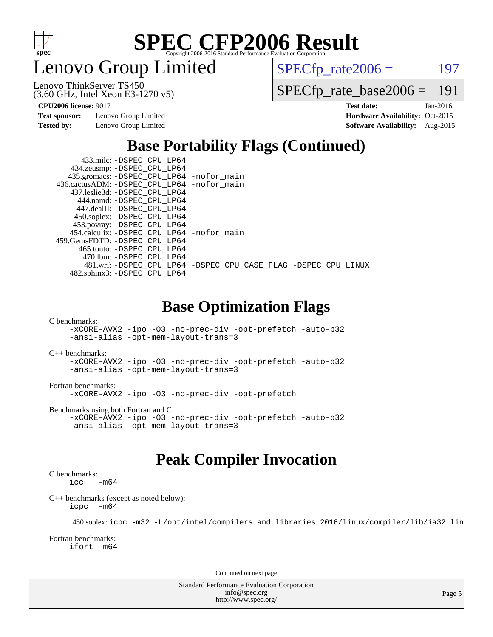

enovo Group Limited

 $SPECTp_rate2006 = 197$ 

(3.60 GHz, Intel Xeon E3-1270 v5) Lenovo ThinkServer TS450

[SPECfp\\_rate\\_base2006 =](http://www.spec.org/auto/cpu2006/Docs/result-fields.html#SPECfpratebase2006) 191

**[Test sponsor:](http://www.spec.org/auto/cpu2006/Docs/result-fields.html#Testsponsor)** Lenovo Group Limited **[Hardware Availability:](http://www.spec.org/auto/cpu2006/Docs/result-fields.html#HardwareAvailability)** Oct-2015

**[CPU2006 license:](http://www.spec.org/auto/cpu2006/Docs/result-fields.html#CPU2006license)** 9017 **[Test date:](http://www.spec.org/auto/cpu2006/Docs/result-fields.html#Testdate)** Jan-2016 **[Tested by:](http://www.spec.org/auto/cpu2006/Docs/result-fields.html#Testedby)** Lenovo Group Limited **[Software Availability:](http://www.spec.org/auto/cpu2006/Docs/result-fields.html#SoftwareAvailability)** Aug-2015

## **[Base Portability Flags \(Continued\)](http://www.spec.org/auto/cpu2006/Docs/result-fields.html#BasePortabilityFlags)**

| 433.milc: -DSPEC CPU LP64<br>434.zeusmp: -DSPEC_CPU_LP64                     |                                                                |
|------------------------------------------------------------------------------|----------------------------------------------------------------|
| 435.gromacs: -DSPEC_CPU_LP64 -nofor_main                                     |                                                                |
| 436.cactusADM: -DSPEC CPU LP64 -nofor main<br>437.leslie3d: -DSPEC CPU LP64  |                                                                |
| 444.namd: - DSPEC CPU LP64                                                   |                                                                |
| 447.dealII: -DSPEC CPU LP64<br>450.soplex: -DSPEC_CPU_LP64                   |                                                                |
| 453.povray: -DSPEC_CPU_LP64                                                  |                                                                |
| 454.calculix: - DSPEC CPU LP64 - nofor main<br>459.GemsFDTD: -DSPEC_CPU_LP64 |                                                                |
| 465.tonto: - DSPEC CPU LP64                                                  |                                                                |
| 470.1bm: -DSPEC CPU LP64                                                     |                                                                |
| 482.sphinx3: -DSPEC_CPU_LP64                                                 | 481.wrf: -DSPEC CPU LP64 -DSPEC CPU CASE FLAG -DSPEC CPU LINUX |
|                                                                              |                                                                |
|                                                                              |                                                                |

### **[Base Optimization Flags](http://www.spec.org/auto/cpu2006/Docs/result-fields.html#BaseOptimizationFlags)**

[C benchmarks](http://www.spec.org/auto/cpu2006/Docs/result-fields.html#Cbenchmarks):

[-xCORE-AVX2](http://www.spec.org/cpu2006/results/res2016q1/cpu2006-20160222-39033.flags.html#user_CCbase_f-xAVX2_5f5fc0cbe2c9f62c816d3e45806c70d7) [-ipo](http://www.spec.org/cpu2006/results/res2016q1/cpu2006-20160222-39033.flags.html#user_CCbase_f-ipo) [-O3](http://www.spec.org/cpu2006/results/res2016q1/cpu2006-20160222-39033.flags.html#user_CCbase_f-O3) [-no-prec-div](http://www.spec.org/cpu2006/results/res2016q1/cpu2006-20160222-39033.flags.html#user_CCbase_f-no-prec-div) [-opt-prefetch](http://www.spec.org/cpu2006/results/res2016q1/cpu2006-20160222-39033.flags.html#user_CCbase_f-opt-prefetch) [-auto-p32](http://www.spec.org/cpu2006/results/res2016q1/cpu2006-20160222-39033.flags.html#user_CCbase_f-auto-p32) [-ansi-alias](http://www.spec.org/cpu2006/results/res2016q1/cpu2006-20160222-39033.flags.html#user_CCbase_f-ansi-alias) [-opt-mem-layout-trans=3](http://www.spec.org/cpu2006/results/res2016q1/cpu2006-20160222-39033.flags.html#user_CCbase_f-opt-mem-layout-trans_a7b82ad4bd7abf52556d4961a2ae94d5)

[C++ benchmarks:](http://www.spec.org/auto/cpu2006/Docs/result-fields.html#CXXbenchmarks)

[-xCORE-AVX2](http://www.spec.org/cpu2006/results/res2016q1/cpu2006-20160222-39033.flags.html#user_CXXbase_f-xAVX2_5f5fc0cbe2c9f62c816d3e45806c70d7) [-ipo](http://www.spec.org/cpu2006/results/res2016q1/cpu2006-20160222-39033.flags.html#user_CXXbase_f-ipo) [-O3](http://www.spec.org/cpu2006/results/res2016q1/cpu2006-20160222-39033.flags.html#user_CXXbase_f-O3) [-no-prec-div](http://www.spec.org/cpu2006/results/res2016q1/cpu2006-20160222-39033.flags.html#user_CXXbase_f-no-prec-div) [-opt-prefetch](http://www.spec.org/cpu2006/results/res2016q1/cpu2006-20160222-39033.flags.html#user_CXXbase_f-opt-prefetch) [-auto-p32](http://www.spec.org/cpu2006/results/res2016q1/cpu2006-20160222-39033.flags.html#user_CXXbase_f-auto-p32) [-ansi-alias](http://www.spec.org/cpu2006/results/res2016q1/cpu2006-20160222-39033.flags.html#user_CXXbase_f-ansi-alias) [-opt-mem-layout-trans=3](http://www.spec.org/cpu2006/results/res2016q1/cpu2006-20160222-39033.flags.html#user_CXXbase_f-opt-mem-layout-trans_a7b82ad4bd7abf52556d4961a2ae94d5)

[Fortran benchmarks](http://www.spec.org/auto/cpu2006/Docs/result-fields.html#Fortranbenchmarks): [-xCORE-AVX2](http://www.spec.org/cpu2006/results/res2016q1/cpu2006-20160222-39033.flags.html#user_FCbase_f-xAVX2_5f5fc0cbe2c9f62c816d3e45806c70d7) [-ipo](http://www.spec.org/cpu2006/results/res2016q1/cpu2006-20160222-39033.flags.html#user_FCbase_f-ipo) [-O3](http://www.spec.org/cpu2006/results/res2016q1/cpu2006-20160222-39033.flags.html#user_FCbase_f-O3) [-no-prec-div](http://www.spec.org/cpu2006/results/res2016q1/cpu2006-20160222-39033.flags.html#user_FCbase_f-no-prec-div) [-opt-prefetch](http://www.spec.org/cpu2006/results/res2016q1/cpu2006-20160222-39033.flags.html#user_FCbase_f-opt-prefetch)

[Benchmarks using both Fortran and C](http://www.spec.org/auto/cpu2006/Docs/result-fields.html#BenchmarksusingbothFortranandC): [-xCORE-AVX2](http://www.spec.org/cpu2006/results/res2016q1/cpu2006-20160222-39033.flags.html#user_CC_FCbase_f-xAVX2_5f5fc0cbe2c9f62c816d3e45806c70d7) [-ipo](http://www.spec.org/cpu2006/results/res2016q1/cpu2006-20160222-39033.flags.html#user_CC_FCbase_f-ipo) [-O3](http://www.spec.org/cpu2006/results/res2016q1/cpu2006-20160222-39033.flags.html#user_CC_FCbase_f-O3) [-no-prec-div](http://www.spec.org/cpu2006/results/res2016q1/cpu2006-20160222-39033.flags.html#user_CC_FCbase_f-no-prec-div) [-opt-prefetch](http://www.spec.org/cpu2006/results/res2016q1/cpu2006-20160222-39033.flags.html#user_CC_FCbase_f-opt-prefetch) [-auto-p32](http://www.spec.org/cpu2006/results/res2016q1/cpu2006-20160222-39033.flags.html#user_CC_FCbase_f-auto-p32) [-ansi-alias](http://www.spec.org/cpu2006/results/res2016q1/cpu2006-20160222-39033.flags.html#user_CC_FCbase_f-ansi-alias) [-opt-mem-layout-trans=3](http://www.spec.org/cpu2006/results/res2016q1/cpu2006-20160222-39033.flags.html#user_CC_FCbase_f-opt-mem-layout-trans_a7b82ad4bd7abf52556d4961a2ae94d5)

## **[Peak Compiler Invocation](http://www.spec.org/auto/cpu2006/Docs/result-fields.html#PeakCompilerInvocation)**

[C benchmarks](http://www.spec.org/auto/cpu2006/Docs/result-fields.html#Cbenchmarks):  $-m64$ 

[C++ benchmarks \(except as noted below\):](http://www.spec.org/auto/cpu2006/Docs/result-fields.html#CXXbenchmarksexceptasnotedbelow) [icpc -m64](http://www.spec.org/cpu2006/results/res2016q1/cpu2006-20160222-39033.flags.html#user_CXXpeak_intel_icpc_64bit_bedb90c1146cab66620883ef4f41a67e)

450.soplex: [icpc -m32 -L/opt/intel/compilers\\_and\\_libraries\\_2016/linux/compiler/lib/ia32\\_lin](http://www.spec.org/cpu2006/results/res2016q1/cpu2006-20160222-39033.flags.html#user_peakCXXLD450_soplex_intel_icpc_b4f50a394bdb4597aa5879c16bc3f5c5)

[Fortran benchmarks](http://www.spec.org/auto/cpu2006/Docs/result-fields.html#Fortranbenchmarks): [ifort -m64](http://www.spec.org/cpu2006/results/res2016q1/cpu2006-20160222-39033.flags.html#user_FCpeak_intel_ifort_64bit_ee9d0fb25645d0210d97eb0527dcc06e)

Continued on next page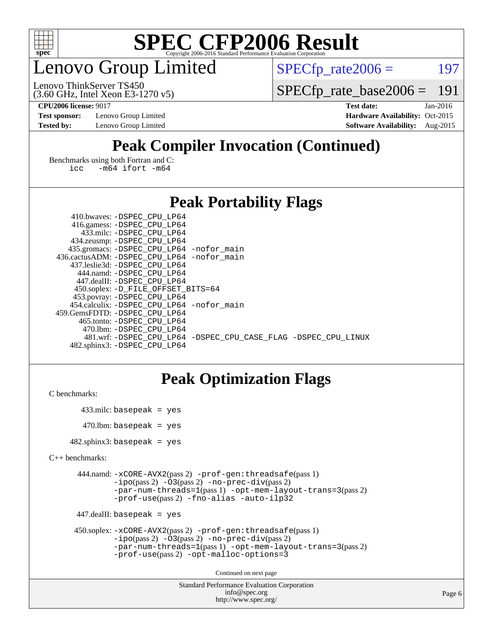

## enovo Group Limited

 $SPECTp_rate2006 = 197$ 

(3.60 GHz, Intel Xeon E3-1270 v5) Lenovo ThinkServer TS450

[SPECfp\\_rate\\_base2006 =](http://www.spec.org/auto/cpu2006/Docs/result-fields.html#SPECfpratebase2006) 191

**[Test sponsor:](http://www.spec.org/auto/cpu2006/Docs/result-fields.html#Testsponsor)** Lenovo Group Limited **[Hardware Availability:](http://www.spec.org/auto/cpu2006/Docs/result-fields.html#HardwareAvailability)** Oct-2015

**[CPU2006 license:](http://www.spec.org/auto/cpu2006/Docs/result-fields.html#CPU2006license)** 9017 **[Test date:](http://www.spec.org/auto/cpu2006/Docs/result-fields.html#Testdate)** Jan-2016 **[Tested by:](http://www.spec.org/auto/cpu2006/Docs/result-fields.html#Testedby)** Lenovo Group Limited **[Software Availability:](http://www.spec.org/auto/cpu2006/Docs/result-fields.html#SoftwareAvailability)** Aug-2015

## **[Peak Compiler Invocation \(Continued\)](http://www.spec.org/auto/cpu2006/Docs/result-fields.html#PeakCompilerInvocation)**

[Benchmarks using both Fortran and C](http://www.spec.org/auto/cpu2006/Docs/result-fields.html#BenchmarksusingbothFortranandC): [icc -m64](http://www.spec.org/cpu2006/results/res2016q1/cpu2006-20160222-39033.flags.html#user_CC_FCpeak_intel_icc_64bit_0b7121f5ab7cfabee23d88897260401c) [ifort -m64](http://www.spec.org/cpu2006/results/res2016q1/cpu2006-20160222-39033.flags.html#user_CC_FCpeak_intel_ifort_64bit_ee9d0fb25645d0210d97eb0527dcc06e)

### **[Peak Portability Flags](http://www.spec.org/auto/cpu2006/Docs/result-fields.html#PeakPortabilityFlags)**

| 410.bwaves: -DSPEC CPU LP64                 |                                                                |
|---------------------------------------------|----------------------------------------------------------------|
| 416.gamess: -DSPEC_CPU_LP64                 |                                                                |
| 433.milc: -DSPEC CPU LP64                   |                                                                |
| 434.zeusmp: -DSPEC_CPU_LP64                 |                                                                |
| 435.gromacs: -DSPEC_CPU_LP64 -nofor_main    |                                                                |
| 436.cactusADM: -DSPEC CPU LP64 -nofor main  |                                                                |
| 437.leslie3d: -DSPEC CPU LP64               |                                                                |
| 444.namd: - DSPEC_CPU LP64                  |                                                                |
| 447.dealII: -DSPEC CPU LP64                 |                                                                |
| 450.soplex: -D_FILE_OFFSET_BITS=64          |                                                                |
| 453.povray: -DSPEC_CPU_LP64                 |                                                                |
| 454.calculix: - DSPEC CPU LP64 - nofor main |                                                                |
| 459.GemsFDTD: -DSPEC CPU LP64               |                                                                |
| 465.tonto: - DSPEC CPU LP64                 |                                                                |
| 470.1bm: - DSPEC CPU LP64                   |                                                                |
|                                             | 481.wrf: -DSPEC CPU LP64 -DSPEC CPU CASE FLAG -DSPEC CPU LINUX |
| 482.sphinx3: -DSPEC CPU LP64                |                                                                |

## **[Peak Optimization Flags](http://www.spec.org/auto/cpu2006/Docs/result-fields.html#PeakOptimizationFlags)**

```
C benchmarks:
```

```
 433.milc: basepeak = yes
470.lbm: basepeak = yes
```
482.sphinx3: basepeak = yes

```
C++ benchmarks:
```

```
 444.namd: -xCORE-AVX2(pass 2) -prof-gen:threadsafe(pass 1)
         -i\text{po}(pass 2) -\overline{O}3(pass 2)-no-prec-div(pass 2)
         -par-num-threads=1(pass 1) -opt-mem-layout-trans=3(pass 2)
         -prof-use(pass 2) -fno-alias -auto-ilp32
```

```
 447.dealII: basepeak = yes
```

```
 450.soplex: -xCORE-AVX2(pass 2) -prof-gen:threadsafe(pass 1)
         -ipo(pass 2) -O3(pass 2) -no-prec-div(pass 2)
         -par-num-threads=1(pass 1) -opt-mem-layout-trans=3(pass 2)
         -prof-use(pass 2) -opt-malloc-options=3
```
Continued on next page

```
Standard Performance Evaluation Corporation
              info@spec.org
           http://www.spec.org/
```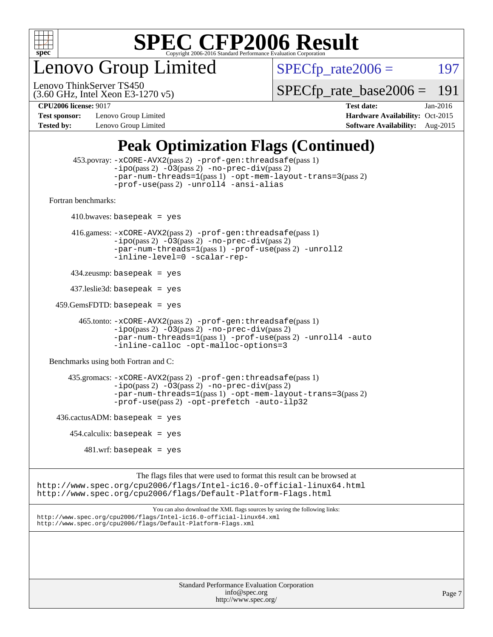

enovo Group Limited

 $SPECTp_rate2006 = 197$ 

(3.60 GHz, Intel Xeon E3-1270 v5) Lenovo ThinkServer TS450

[SPECfp\\_rate\\_base2006 =](http://www.spec.org/auto/cpu2006/Docs/result-fields.html#SPECfpratebase2006) 191

**[Test sponsor:](http://www.spec.org/auto/cpu2006/Docs/result-fields.html#Testsponsor)** Lenovo Group Limited **[Hardware Availability:](http://www.spec.org/auto/cpu2006/Docs/result-fields.html#HardwareAvailability)** Oct-2015

**[CPU2006 license:](http://www.spec.org/auto/cpu2006/Docs/result-fields.html#CPU2006license)** 9017 **[Test date:](http://www.spec.org/auto/cpu2006/Docs/result-fields.html#Testdate)** Jan-2016 **[Tested by:](http://www.spec.org/auto/cpu2006/Docs/result-fields.html#Testedby)** Lenovo Group Limited **[Software Availability:](http://www.spec.org/auto/cpu2006/Docs/result-fields.html#SoftwareAvailability)** Aug-2015

## **[Peak Optimization Flags \(Continued\)](http://www.spec.org/auto/cpu2006/Docs/result-fields.html#PeakOptimizationFlags)**

```
 453.povray: -xCORE-AVX2(pass 2) -prof-gen:threadsafe(pass 1)
                   -i\text{po}(pass 2) -\overset{\sim}{O}3(pass 2)-no-prec-div(pass 2)
                   -par-num-threads=1(pass 1) -opt-mem-layout-trans=3(pass 2)
                   -prof-use(pass 2) -unroll4 -ansi-alias
   Fortran benchmarks: 
        410.bwaves: basepeak = yes 416.gamess: -xCORE-AVX2(pass 2) -prof-gen:threadsafe(pass 1)
                   -ipo(pass 2) -O3(pass 2) -no-prec-div(pass 2)
                   -par-num-threads=1(pass 1) -prof-use(pass 2) -unroll2
                   -inline-level=0 -scalar-rep-
         434.zeusmp: basepeak = yes
         437.leslie3d: basepeak = yes
     459.GemsFDTD: basepeak = yes
           465.tonto: -xCORE-AVX2(pass 2) -prof-gen:threadsafe(pass 1)
                   -i\text{po}(pass 2) -03(pass 2)-no-prec-div(pass 2)
                   -par-num-threads=1(pass 1) -prof-use(pass 2) -unroll4 -auto
                   -inline-calloc -opt-malloc-options=3
   Benchmarks using both Fortran and C: 
         435.gromacs: -xCORE-AVX2(pass 2) -prof-gen:threadsafe(pass 1)
                   -i\text{po}(pass 2) -\tilde{O}3(pass 2)-no-prec-div(pass 2)
                   -par-num-threads=1(pass 1) -opt-mem-layout-trans=3(pass 2)
                   -prof-use(pass 2) -opt-prefetch -auto-ilp32
    436.cactusADM:basepeak = yes454.calculix: basepeak = yes
            481 \text{.m}: basepeak = yes
                         The flags files that were used to format this result can be browsed at
http://www.spec.org/cpu2006/flags/Intel-ic16.0-official-linux64.html
http://www.spec.org/cpu2006/flags/Default-Platform-Flags.html
                             You can also download the XML flags sources by saving the following links:
http://www.spec.org/cpu2006/flags/Intel-ic16.0-official-linux64.xml
http://www.spec.org/cpu2006/flags/Default-Platform-Flags.xml
```